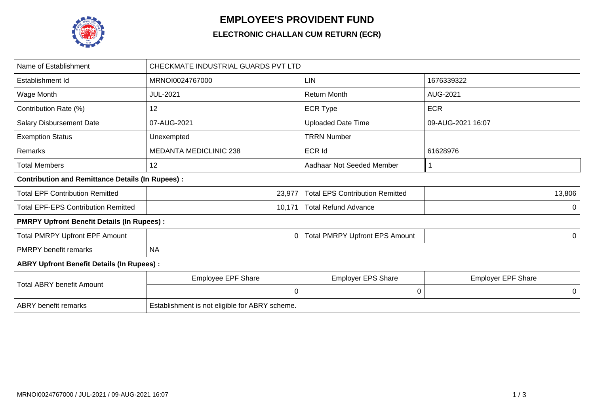

## **EMPLOYEE'S PROVIDENT FUND**

## **ELECTRONIC CHALLAN CUM RETURN (ECR)**

| Name of Establishment                                   | CHECKMATE INDUSTRIAL GUARDS PVT LTD            |                                        |                           |  |  |  |
|---------------------------------------------------------|------------------------------------------------|----------------------------------------|---------------------------|--|--|--|
| Establishment Id                                        | MRNOI0024767000                                | <b>LIN</b>                             | 1676339322                |  |  |  |
| Wage Month                                              | <b>JUL-2021</b>                                | <b>Return Month</b>                    | AUG-2021                  |  |  |  |
| Contribution Rate (%)                                   | 12                                             | <b>ECR Type</b>                        | <b>ECR</b>                |  |  |  |
| <b>Salary Disbursement Date</b>                         | 07-AUG-2021                                    | <b>Uploaded Date Time</b>              | 09-AUG-2021 16:07         |  |  |  |
| <b>Exemption Status</b>                                 | Unexempted                                     | <b>TRRN Number</b>                     |                           |  |  |  |
| Remarks                                                 | <b>MEDANTA MEDICLINIC 238</b>                  | <b>ECR Id</b>                          | 61628976                  |  |  |  |
| <b>Total Members</b>                                    | 12                                             | Aadhaar Not Seeded Member              |                           |  |  |  |
| <b>Contribution and Remittance Details (In Rupees):</b> |                                                |                                        |                           |  |  |  |
| <b>Total EPF Contribution Remitted</b>                  | 23,977                                         | <b>Total EPS Contribution Remitted</b> | 13,806                    |  |  |  |
| <b>Total EPF-EPS Contribution Remitted</b>              | 10,171                                         | <b>Total Refund Advance</b>            | 0                         |  |  |  |
| <b>PMRPY Upfront Benefit Details (In Rupees):</b>       |                                                |                                        |                           |  |  |  |
| <b>Total PMRPY Upfront EPF Amount</b>                   | 0                                              | <b>Total PMRPY Upfront EPS Amount</b>  | 0                         |  |  |  |
| <b>PMRPY</b> benefit remarks                            | <b>NA</b>                                      |                                        |                           |  |  |  |
| <b>ABRY Upfront Benefit Details (In Rupees):</b>        |                                                |                                        |                           |  |  |  |
| <b>Total ABRY benefit Amount</b>                        | <b>Employee EPF Share</b>                      | Employer EPS Share                     | <b>Employer EPF Share</b> |  |  |  |
|                                                         | $\mathbf 0$                                    | $\mathbf 0$                            | 0                         |  |  |  |
| <b>ABRY</b> benefit remarks                             | Establishment is not eligible for ABRY scheme. |                                        |                           |  |  |  |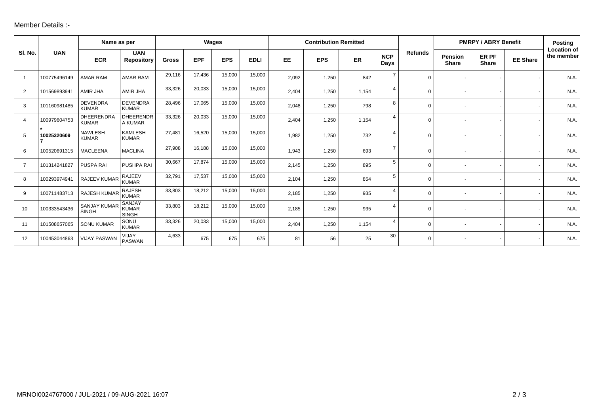## Member Details :-

|                |              | Name as per                         |                                               | Wages        |            |            | <b>Contribution Remitted</b> |           |            |       | <b>PMRPY / ABRY Benefit</b> |                |                                | <b>Posting</b>        |                 |                                  |
|----------------|--------------|-------------------------------------|-----------------------------------------------|--------------|------------|------------|------------------------------|-----------|------------|-------|-----------------------------|----------------|--------------------------------|-----------------------|-----------------|----------------------------------|
| SI. No.        | <b>UAN</b>   | <b>ECR</b>                          | <b>UAN</b><br><b>Repository</b>               | <b>Gross</b> | <b>EPF</b> | <b>EPS</b> | <b>EDLI</b>                  | <b>EE</b> | <b>EPS</b> | ER    | <b>NCP</b><br>Days          | <b>Refunds</b> | <b>Pension</b><br><b>Share</b> | ER PF<br><b>Share</b> | <b>EE Share</b> | <b>Location of</b><br>the member |
|                | 100775496149 | <b>AMAR RAM</b>                     | <b>AMAR RAM</b>                               | 29,116       | 17,436     | 15,000     | 15,000                       | 2,092     | 1,250      | 842   | $\overline{7}$              | $\Omega$       |                                |                       |                 | N.A.                             |
| 2              | 101569893941 | AMIR JHA                            | AMIR JHA                                      | 33,326       | 20,033     | 15,000     | 15,000                       | 2,404     | 1,250      | 1,154 | $\overline{4}$              | 0              |                                |                       |                 | N.A.                             |
| 3              | 101160981485 | <b>DEVENDRA</b><br><b>KUMAR</b>     | <b>DEVENDRA</b><br><b>KUMAR</b>               | 28,496       | 17,065     | 15,000     | 15,000                       | 2,048     | 1,250      | 798   | 8                           | $\Omega$       |                                |                       |                 | N.A.                             |
| 4              | 100979604753 | <b>DHEERENDRA</b><br><b>KUMAR</b>   | <b>DHEERENDR</b><br>A KUMAR                   | 33,326       | 20,033     | 15,000     | 15,000                       | 2,404     | 1,250      | 1,154 | $\overline{4}$              | 0              |                                |                       |                 | N.A.                             |
| 5              | 10025320609  | <b>NAWLESH</b><br><b>KUMAR</b>      | <b>KAMLESH</b><br><b>KUMAR</b>                | 27.481       | 16,520     | 15,000     | 15,000                       | 1,982     | 1,250      | 732   | $\overline{4}$              | 0              |                                |                       |                 | N.A.                             |
| 6              | 100520691315 | <b>MACLEENA</b>                     | <b>MACLINA</b>                                | 27,908       | 16,188     | 15,000     | 15,000                       | 1,943     | 1,250      | 693   | $\overline{7}$              | $\Omega$       |                                |                       |                 | N.A.                             |
| $\overline{7}$ | 101314241827 | PUSPA RAI                           | PUSHPA RAI                                    | 30,667       | 17,874     | 15,000     | 15,000                       | 2,145     | 1,250      | 895   | 5                           | 0              |                                |                       |                 | N.A.                             |
| 8              | 100293974941 | RAJEEV KUMAR                        | <b>RAJEEV</b><br><b>KUMAR</b>                 | 32,791       | 17,537     | 15,000     | 15,000                       | 2,104     | 1,250      | 854   | 5                           | $\Omega$       |                                |                       |                 | N.A.                             |
| 9              | 100711483713 | RAJESH KUMAR                        | <b>RAJESH</b><br><b>KUMAR</b>                 | 33,803       | 18,212     | 15,000     | 15,000                       | 2,185     | 1,250      | 935   | $\overline{4}$              | 0              |                                |                       |                 | N.A.                             |
| 10             | 100333543436 | <b>SANJAY KUMAR</b><br><b>SINGH</b> | <b>SANJAY</b><br><b>KUMAR</b><br><b>SINGH</b> | 33,803       | 18,212     | 15,000     | 15,000                       | 2,185     | 1,250      | 935   | $\overline{4}$              | 0              |                                |                       |                 | N.A.                             |
| 11             | 101508657065 | <b>SONU KUMAR</b>                   | SONU<br><b>KUMAR</b>                          | 33,326       | 20,033     | 15,000     | 15,000                       | 2,404     | 1,250      | 1,154 | $\overline{4}$              | $\Omega$       |                                |                       |                 | N.A.                             |
| 12             | 100453044863 | <b>VIJAY PASWAN</b>                 | VIJAY<br><b>PASWAN</b>                        | 4,633        | 675        | 675        | 675                          | 81        | 56         | 25    | 30                          | $\Omega$       |                                |                       |                 | N.A.                             |